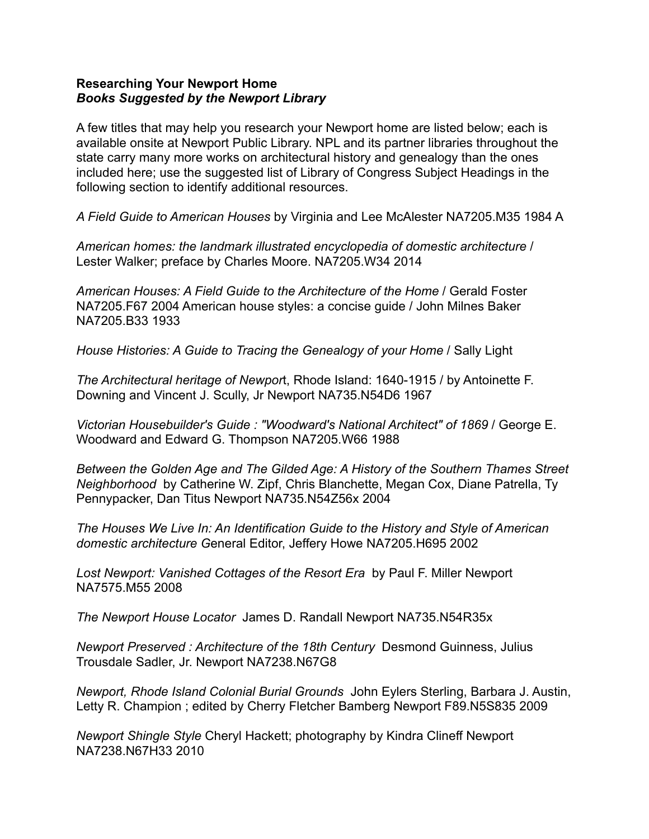## **Researching Your Newport Home** *Books Suggested by the Newport Library*

A few titles that may help you research your Newport home are listed below; each is available onsite at Newport Public Library. NPL and its partner libraries throughout the state carry many more works on architectural history and genealogy than the ones included here; use the suggested list of Library of Congress Subject Headings in the following section to identify additional resources.

*A Field Guide to American Houses* by Virginia and Lee McAlester NA7205.M35 1984 A

*American homes: the landmark illustrated encyclopedia of domestic architecture* / Lester Walker; preface by Charles Moore. NA7205.W34 2014

*American Houses: A Field Guide to the Architecture of the Home* / Gerald Foster NA7205.F67 2004 American house styles: a concise guide / John Milnes Baker NA7205.B33 1933

*House Histories: A Guide to Tracing the Genealogy of your Home* / Sally Light

*The Architectural heritage of Newpor*t, Rhode Island: 1640-1915 / by Antoinette F. Downing and Vincent J. Scully, Jr Newport NA735.N54D6 1967

*Victorian Housebuilder's Guide : "Woodward's National Architect" of 1869* / George E. Woodward and Edward G. Thompson NA7205.W66 1988

*Between the Golden Age and The Gilded Age: A History of the Southern Thames Street Neighborhood* by Catherine W. Zipf, Chris Blanchette, Megan Cox, Diane Patrella, Ty Pennypacker, Dan Titus Newport NA735.N54Z56x 2004

*The Houses We Live In: An Identification Guide to the History and Style of American domestic architecture G*eneral Editor, Jeffery Howe NA7205.H695 2002

*Lost Newport: Vanished Cottages of the Resort Era* by Paul F. Miller Newport NA7575.M55 2008

*The Newport House Locator* James D. Randall Newport NA735.N54R35x

*Newport Preserved : Architecture of the 18th Century* Desmond Guinness, Julius Trousdale Sadler, Jr. Newport NA7238.N67G8

*Newport, Rhode Island Colonial Burial Grounds* John Eylers Sterling, Barbara J. Austin, Letty R. Champion ; edited by Cherry Fletcher Bamberg Newport F89.N5S835 2009

*Newport Shingle Style* Cheryl Hackett; photography by Kindra Clineff Newport NA7238.N67H33 2010